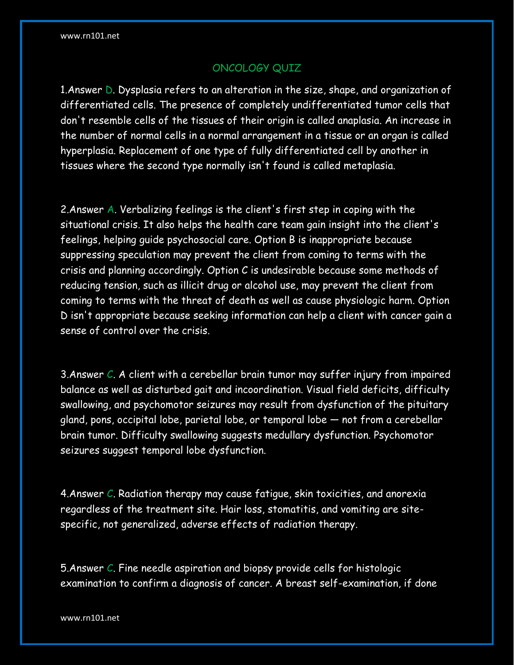## ONCOLOGY QUIZ

1.Answer D. Dysplasia refers to an alteration in the size, shape, and organization of differentiated cells. The presence of completely undifferentiated tumor cells that don't resemble cells of the tissues of their origin is called anaplasia. An increase in the number of normal cells in a normal arrangement in a tissue or an organ is called hyperplasia. Replacement of one type of fully differentiated cell by another in tissues where the second type normally isn't found is called metaplasia.

2.Answer A. Verbalizing feelings is the client's first step in coping with the situational crisis. It also helps the health care team gain insight into the client's feelings, helping guide psychosocial care. Option B is inappropriate because suppressing speculation may prevent the client from coming to terms with the crisis and planning accordingly. Option C is undesirable because some methods of reducing tension, such as illicit drug or alcohol use, may prevent the client from coming to terms with the threat of death as well as cause physiologic harm. Option D isn't appropriate because seeking information can help a client with cancer gain a sense of control over the crisis.

3. Answer  $C$ . A client with a cerebellar brain tumor may suffer injury from impaired balance as well as disturbed gait and incoordination. Visual field deficits, difficulty swallowing, and psychomotor seizures may result from dysfunction of the pituitary gland, pons, occipital lobe, parietal lobe, or temporal lobe — not from a cerebellar brain tumor. Difficulty swallowing suggests medullary dysfunction. Psychomotor seizures suggest temporal lobe dysfunction.

4. Answer C. Radiation therapy may cause fatigue, skin toxicities, and anorexia regardless of the treatment site. Hair loss, stomatitis, and vomiting are sitespecific, not generalized, adverse effects of radiation therapy.

5.Answer C. Fine needle aspiration and biopsy provide cells for histologic examination to confirm a diagnosis of cancer. A breast self-examination, if done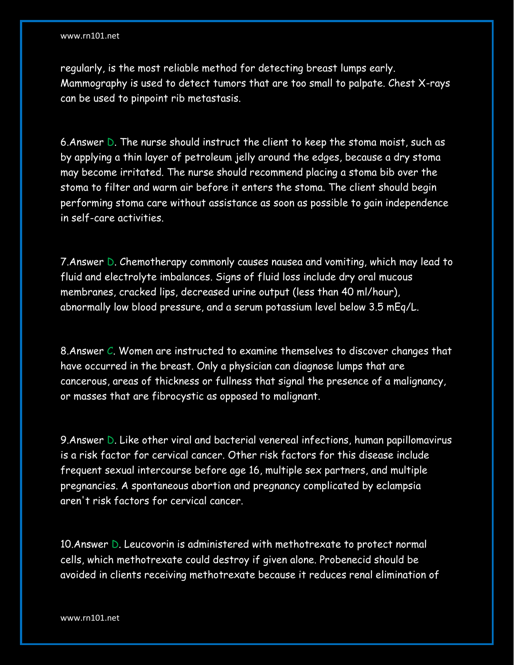regularly, is the most reliable method for detecting breast lumps early. Mammography is used to detect tumors that are too small to palpate. Chest X-rays can be used to pinpoint rib metastasis.

6.Answer D. The nurse should instruct the client to keep the stoma moist, such as by applying a thin layer of petroleum jelly around the edges, because a dry stoma may become irritated. The nurse should recommend placing a stoma bib over the stoma to filter and warm air before it enters the stoma. The client should begin performing stoma care without assistance as soon as possible to gain independence in self-care activities.

7.Answer D. Chemotherapy commonly causes nausea and vomiting, which may lead to fluid and electrolyte imbalances. Signs of fluid loss include dry oral mucous membranes, cracked lips, decreased urine output (less than 40 ml/hour), abnormally low blood pressure, and a serum potassium level below 3.5 mEq/L.

8.Answer C. Women are instructed to examine themselves to discover changes that have occurred in the breast. Only a physician can diagnose lumps that are cancerous, areas of thickness or fullness that signal the presence of a malignancy, or masses that are fibrocystic as opposed to malignant.

9.Answer D. Like other viral and bacterial venereal infections, human papillomavirus is a risk factor for cervical cancer. Other risk factors for this disease include frequent sexual intercourse before age 16, multiple sex partners, and multiple pregnancies. A spontaneous abortion and pregnancy complicated by eclampsia aren't risk factors for cervical cancer.

10.Answer D. Leucovorin is administered with methotrexate to protect normal cells, which methotrexate could destroy if given alone. Probenecid should be avoided in clients receiving methotrexate because it reduces renal elimination of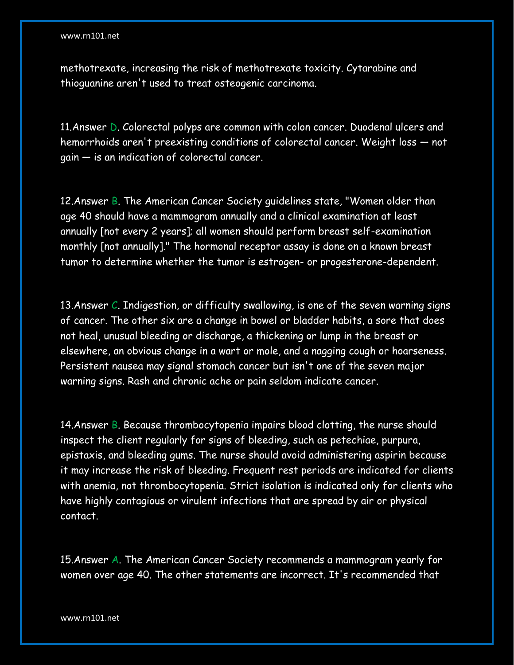## www.rn101.net

methotrexate, increasing the risk of methotrexate toxicity. Cytarabine and thioguanine aren't used to treat osteogenic carcinoma.

11.Answer D. Colorectal polyps are common with colon cancer. Duodenal ulcers and hemorrhoids aren't preexisting conditions of colorectal cancer. Weight loss — not gain — is an indication of colorectal cancer.

12.Answer B. The American Cancer Society guidelines state, "Women older than age 40 should have a mammogram annually and a clinical examination at least annually [not every 2 years]; all women should perform breast self-examination monthly [not annually]." The hormonal receptor assay is done on a known breast tumor to determine whether the tumor is estrogen- or progesterone-dependent.

13. Answer  $C$ . Indigestion, or difficulty swallowing, is one of the seven warning signs of cancer. The other six are a change in bowel or bladder habits, a sore that does not heal, unusual bleeding or discharge, a thickening or lump in the breast or elsewhere, an obvious change in a wart or mole, and a nagging cough or hoarseness. Persistent nausea may signal stomach cancer but isn't one of the seven major warning signs. Rash and chronic ache or pain seldom indicate cancer.

14. Answer B. Because thrombocytopenia impairs blood clotting, the nurse should inspect the client regularly for signs of bleeding, such as petechiae, purpura, epistaxis, and bleeding gums. The nurse should avoid administering aspirin because it may increase the risk of bleeding. Frequent rest periods are indicated for clients with anemia, not thrombocytopenia. Strict isolation is indicated only for clients who have highly contagious or virulent infections that are spread by air or physical contact.

15.Answer A. The American Cancer Society recommends a mammogram yearly for women over age 40. The other statements are incorrect. It's recommended that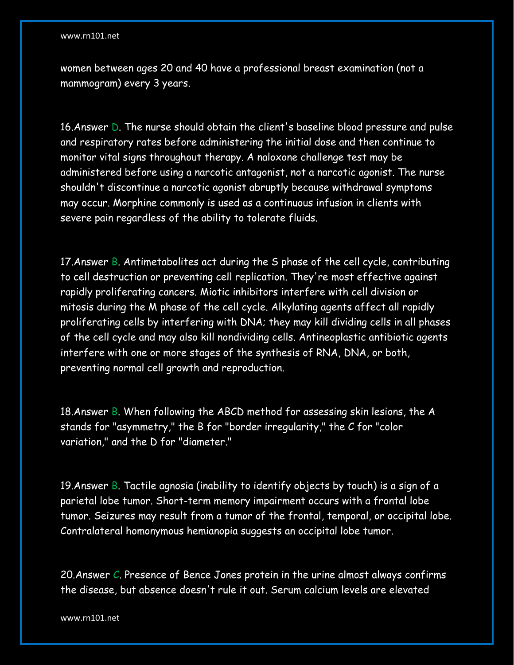## www.rn101.net

women between ages 20 and 40 have a professional breast examination (not a mammogram) every 3 years.

16.Answer D. The nurse should obtain the client's baseline blood pressure and pulse and respiratory rates before administering the initial dose and then continue to monitor vital signs throughout therapy. A naloxone challenge test may be administered before using a narcotic antagonist, not a narcotic agonist. The nurse shouldn't discontinue a narcotic agonist abruptly because withdrawal symptoms may occur. Morphine commonly is used as a continuous infusion in clients with severe pain regardless of the ability to tolerate fluids.

17.Answer B. Antimetabolites act during the S phase of the cell cycle, contributing to cell destruction or preventing cell replication. They're most effective against rapidly proliferating cancers. Miotic inhibitors interfere with cell division or mitosis during the M phase of the cell cycle. Alkylating agents affect all rapidly proliferating cells by interfering with DNA; they may kill dividing cells in all phases of the cell cycle and may also kill nondividing cells. Antineoplastic antibiotic agents interfere with one or more stages of the synthesis of RNA, DNA, or both, preventing normal cell growth and reproduction.

18.Answer B. When following the ABCD method for assessing skin lesions, the A stands for "asymmetry," the B for "border irregularity," the C for "color variation," and the D for "diameter."

19.Answer B. Tactile agnosia (inability to identify objects by touch) is a sign of a parietal lobe tumor. Short-term memory impairment occurs with a frontal lobe tumor. Seizures may result from a tumor of the frontal, temporal, or occipital lobe. Contralateral homonymous hemianopia suggests an occipital lobe tumor.

20.Answer C. Presence of Bence Jones protein in the urine almost always confirms the disease, but absence doesn't rule it out. Serum calcium levels are elevated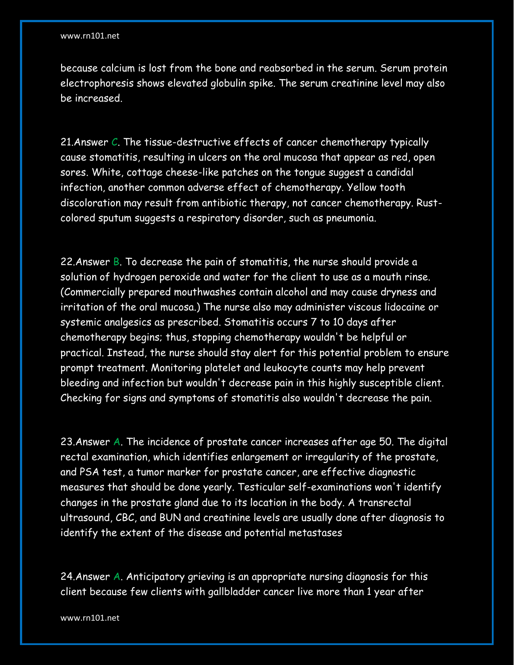because calcium is lost from the bone and reabsorbed in the serum. Serum protein electrophoresis shows elevated globulin spike. The serum creatinine level may also be increased.

21. Answer C. The tissue-destructive effects of cancer chemotherapy typically cause stomatitis, resulting in ulcers on the oral mucosa that appear as red, open sores. White, cottage cheese-like patches on the tongue suggest a candidal infection, another common adverse effect of chemotherapy. Yellow tooth discoloration may result from antibiotic therapy, not cancer chemotherapy. Rustcolored sputum suggests a respiratory disorder, such as pneumonia.

22. Answer  $\overline{B}$ . To decrease the pain of stomatitis, the nurse should provide a solution of hydrogen peroxide and water for the client to use as a mouth rinse. (Commercially prepared mouthwashes contain alcohol and may cause dryness and irritation of the oral mucosa.) The nurse also may administer viscous lidocaine or systemic analgesics as prescribed. Stomatitis occurs 7 to 10 days after chemotherapy begins; thus, stopping chemotherapy wouldn't be helpful or practical. Instead, the nurse should stay alert for this potential problem to ensure prompt treatment. Monitoring platelet and leukocyte counts may help prevent bleeding and infection but wouldn't decrease pain in this highly susceptible client. Checking for signs and symptoms of stomatitis also wouldn't decrease the pain.

23.Answer A. The incidence of prostate cancer increases after age 50. The digital rectal examination, which identifies enlargement or irregularity of the prostate, and PSA test, a tumor marker for prostate cancer, are effective diagnostic measures that should be done yearly. Testicular self-examinations won't identify changes in the prostate gland due to its location in the body. A transrectal ultrasound, CBC, and BUN and creatinine levels are usually done after diagnosis to identify the extent of the disease and potential metastases

24.Answer A. Anticipatory grieving is an appropriate nursing diagnosis for this client because few clients with gallbladder cancer live more than 1 year after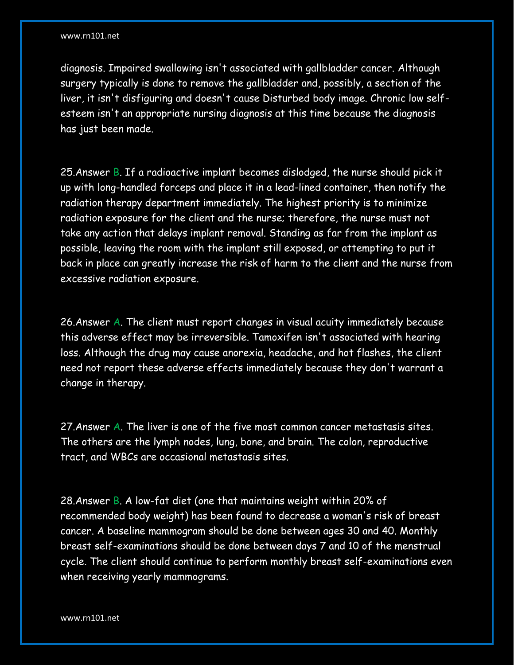diagnosis. Impaired swallowing isn't associated with gallbladder cancer. Although surgery typically is done to remove the gallbladder and, possibly, a section of the liver, it isn't disfiguring and doesn't cause Disturbed body image. Chronic low selfesteem isn't an appropriate nursing diagnosis at this time because the diagnosis has just been made.

25.Answer B. If a radioactive implant becomes dislodged, the nurse should pick it up with long-handled forceps and place it in a lead-lined container, then notify the radiation therapy department immediately. The highest priority is to minimize radiation exposure for the client and the nurse; therefore, the nurse must not take any action that delays implant removal. Standing as far from the implant as possible, leaving the room with the implant still exposed, or attempting to put it back in place can greatly increase the risk of harm to the client and the nurse from excessive radiation exposure.

26.Answer A. The client must report changes in visual acuity immediately because this adverse effect may be irreversible. Tamoxifen isn't associated with hearing loss. Although the drug may cause anorexia, headache, and hot flashes, the client need not report these adverse effects immediately because they don't warrant a change in therapy.

27.Answer A. The liver is one of the five most common cancer metastasis sites. The others are the lymph nodes, lung, bone, and brain. The colon, reproductive tract, and WBCs are occasional metastasis sites.

28.Answer B. A low-fat diet (one that maintains weight within 20% of recommended body weight) has been found to decrease a woman's risk of breast cancer. A baseline mammogram should be done between ages 30 and 40. Monthly breast self-examinations should be done between days 7 and 10 of the menstrual cycle. The client should continue to perform monthly breast self-examinations even when receiving yearly mammograms.